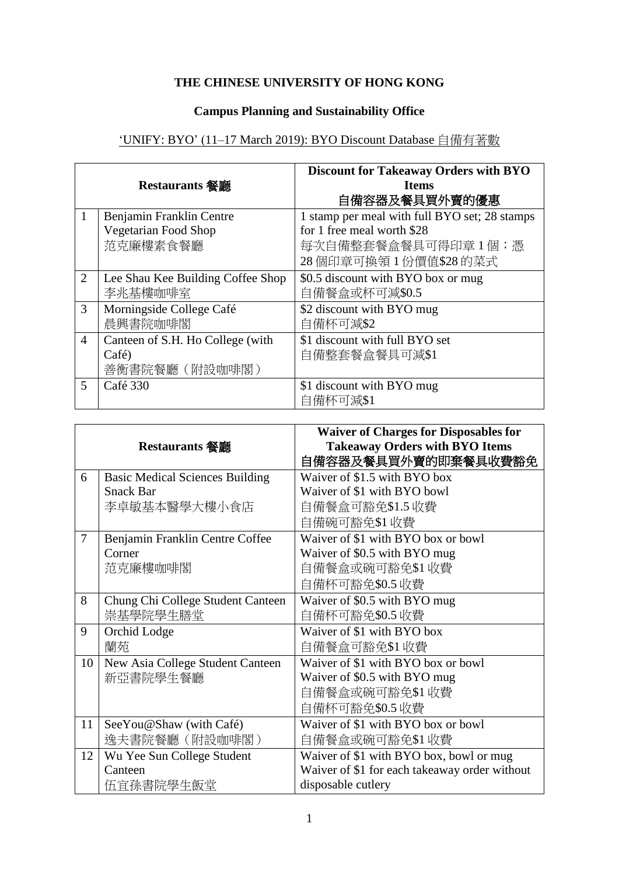## **THE CHINESE UNIVERSITY OF HONG KONG**

## **Campus Planning and Sustainability Office**

## 'UNIFY: BYO' (11–17 March 2019): BYO Discount Database 自備有著數

|                |                                   | <b>Discount for Takeaway Orders with BYO</b>  |
|----------------|-----------------------------------|-----------------------------------------------|
| Restaurants 餐廳 |                                   | <b>Items</b>                                  |
|                |                                   | 自備容器及餐具買外賣的優惠                                 |
| 1              | Benjamin Franklin Centre          | 1 stamp per meal with full BYO set; 28 stamps |
|                | Vegetarian Food Shop              | for 1 free meal worth \$28                    |
|                | 范克廉樓素食餐廳                          | 每次自備整套餐盒餐具可得印章 1個;憑                           |
|                |                                   | 28個印章可換領1份價值\$28的菜式                           |
| 2              | Lee Shau Kee Building Coffee Shop | \$0.5 discount with BYO box or mug            |
|                | 李兆基樓咖啡室                           | 自備餐盒或杯可減\$0.5                                 |
| 3              | Morningside College Café          | \$2 discount with BYO mug                     |
|                | 晨興書院咖啡閣                           | 自備杯可減\$2                                      |
| $\overline{4}$ | Canteen of S.H. Ho College (with  | \$1 discount with full BYO set                |
|                | Café)                             | 自備整套餐盒餐具可減\$1                                 |
|                | 善衡書院餐廳 (附設咖啡閣)                    |                                               |
| 5              | Café 330                          | \$1 discount with BYO mug                     |
|                |                                   | 自備杯可減\$1                                      |

|    | Restaurants 餐廳                         | <b>Waiver of Charges for Disposables for</b><br><b>Takeaway Orders with BYO Items</b><br>自備容器及餐具買外賣的即棄餐具收費豁免 |
|----|----------------------------------------|--------------------------------------------------------------------------------------------------------------|
| 6  | <b>Basic Medical Sciences Building</b> | Waiver of \$1.5 with BYO box                                                                                 |
|    | <b>Snack Bar</b>                       | Waiver of \$1 with BYO bowl                                                                                  |
|    | 李卓敏基本醫學大樓小食店                           | 自備餐盒可豁免\$1.5 收費                                                                                              |
|    |                                        | 自備碗可豁免\$1收費                                                                                                  |
| 7  | Benjamin Franklin Centre Coffee        | Waiver of \$1 with BYO box or bowl                                                                           |
|    | Corner                                 | Waiver of \$0.5 with BYO mug                                                                                 |
|    | 范克廉樓咖啡閣                                | 自備餐盒或碗可豁免\$1 收費                                                                                              |
|    |                                        | 自備杯可豁免\$0.5 收費                                                                                               |
| 8  | Chung Chi College Student Canteen      | Waiver of \$0.5 with BYO mug                                                                                 |
|    | 崇基學院學生膳堂                               | 自備杯可豁免\$0.5 收費                                                                                               |
| 9  | Orchid Lodge                           | Waiver of \$1 with BYO box                                                                                   |
|    | 蘭苑                                     | 自備餐盒可豁免\$1收費                                                                                                 |
| 10 | New Asia College Student Canteen       | Waiver of \$1 with BYO box or bowl                                                                           |
|    | 新亞書院學生餐廳                               | Waiver of \$0.5 with BYO mug                                                                                 |
|    |                                        | 自備餐盒或碗可豁免\$1 收費                                                                                              |
|    |                                        | 自備杯可豁免\$0.5 收費                                                                                               |
| 11 | See You@Shaw (with Café)               | Waiver of \$1 with BYO box or bowl                                                                           |
|    | 逸夫書院餐廳 (附設咖啡閣)                         | 自備餐盒或碗可豁免\$1 收費                                                                                              |
| 12 | Wu Yee Sun College Student             | Waiver of \$1 with BYO box, bowl or mug                                                                      |
|    | Canteen                                | Waiver of \$1 for each takeaway order without                                                                |
|    | 伍宜孫書院學生飯堂                              | disposable cutlery                                                                                           |